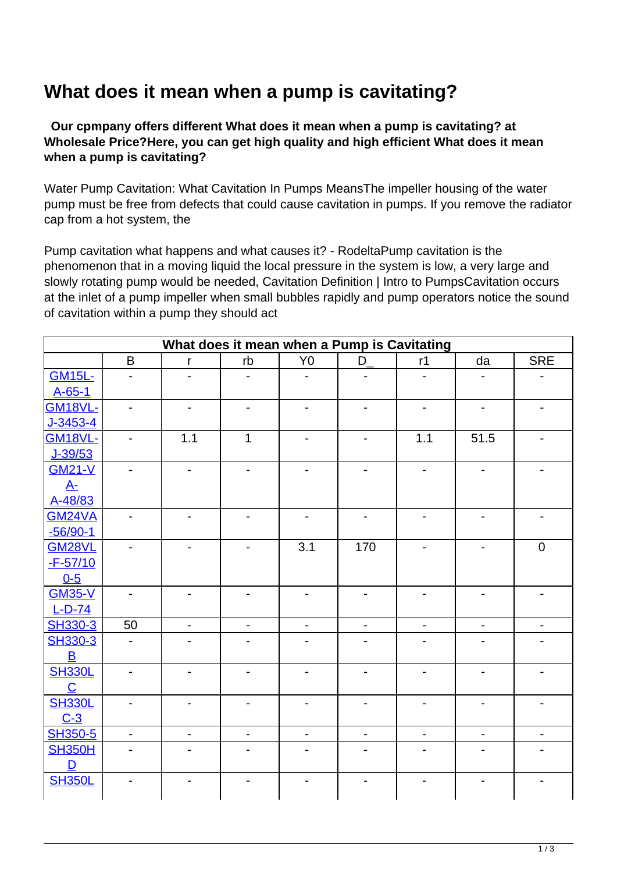## **What does it mean when a pump is cavitating?**

 **Our cpmpany offers different What does it mean when a pump is cavitating? at Wholesale Price?Here, you can get high quality and high efficient What does it mean when a pump is cavitating?**

Water Pump Cavitation: What Cavitation In Pumps MeansThe impeller housing of the water pump must be free from defects that could cause cavitation in pumps. If you remove the radiator cap from a hot system, the

Pump cavitation what happens and what causes it? - RodeltaPump cavitation is the phenomenon that in a moving liquid the local pressure in the system is low, a very large and slowly rotating pump would be needed, Cavitation Definition | Intro to PumpsCavitation occurs at the inlet of a pump impeller when small bubbles rapidly and pump operators notice the sound of cavitation within a pump they should act

| What does it mean when a Pump is Cavitating |                          |                              |                          |                          |                          |                          |                          |                          |
|---------------------------------------------|--------------------------|------------------------------|--------------------------|--------------------------|--------------------------|--------------------------|--------------------------|--------------------------|
|                                             | B                        | $\mathsf{r}$                 | rb                       | Y <sub>0</sub>           | $D_{-}$                  | r1                       | da                       | <b>SRE</b>               |
| <b>GM15L-</b>                               |                          |                              |                          |                          |                          |                          |                          |                          |
| A-65-1                                      |                          |                              |                          |                          |                          |                          |                          |                          |
| <b>GM18VL-</b>                              |                          | $\overline{\phantom{0}}$     |                          |                          |                          |                          |                          |                          |
| J-3453-4                                    |                          |                              |                          |                          |                          |                          |                          |                          |
| <b>GM18VL-</b>                              |                          | 1.1                          | $\mathbf{1}$             |                          | $\overline{\phantom{0}}$ | 1.1                      | 51.5                     |                          |
| J-39/53                                     |                          |                              |                          |                          |                          |                          |                          |                          |
| <b>GM21-V</b>                               |                          |                              |                          |                          |                          |                          |                          |                          |
| $A-$                                        |                          |                              |                          |                          |                          |                          |                          |                          |
| A-48/83                                     |                          |                              |                          |                          |                          |                          |                          |                          |
| <b>GM24VA</b>                               | -                        | $\overline{\phantom{a}}$     | -                        | $\overline{\phantom{a}}$ | $\overline{\phantom{a}}$ | $\blacksquare$           | -                        |                          |
| $-56/90-1$                                  |                          |                              |                          |                          |                          |                          |                          |                          |
| <b>GM28VL</b>                               | $\overline{\phantom{a}}$ | $\overline{\phantom{a}}$     | $\overline{\phantom{0}}$ | 3.1                      | 170                      | $\overline{\phantom{a}}$ | -                        | $\mathbf 0$              |
| $-F-57/10$                                  |                          |                              |                          |                          |                          |                          |                          |                          |
| $0 - 5$                                     |                          |                              |                          |                          |                          |                          |                          |                          |
| <b>GM35-V</b>                               |                          | $\qquad \qquad \blacksquare$ |                          |                          |                          |                          |                          |                          |
| $L-D-74$                                    |                          |                              |                          |                          |                          |                          |                          |                          |
| SH330-3                                     | 50                       | $\qquad \qquad \blacksquare$ |                          |                          | $\overline{\phantom{0}}$ |                          |                          |                          |
| SH330-3                                     |                          |                              |                          |                          |                          |                          |                          |                          |
| $\overline{\mathsf{B}}$                     |                          |                              |                          |                          |                          |                          |                          |                          |
| <b>SH330L</b>                               |                          | $\qquad \qquad \blacksquare$ |                          |                          | $\blacksquare$           |                          |                          |                          |
| $\mathbf C$                                 |                          |                              |                          |                          |                          |                          |                          |                          |
| <b>SH330L</b>                               |                          | $\overline{\phantom{0}}$     |                          |                          |                          |                          |                          |                          |
| $C-3$                                       |                          |                              |                          |                          |                          |                          |                          |                          |
| <b>SH350-5</b>                              | $\overline{\phantom{0}}$ | $\qquad \qquad \blacksquare$ | $\blacksquare$           | $\overline{\phantom{0}}$ | $\overline{\phantom{a}}$ | $\blacksquare$           | $\overline{\phantom{0}}$ | $\overline{\phantom{0}}$ |
| <b>SH350H</b><br>D                          |                          |                              |                          |                          |                          |                          |                          |                          |
| <b>SH350L</b>                               |                          |                              |                          |                          |                          |                          |                          |                          |
|                                             |                          |                              |                          |                          |                          |                          |                          |                          |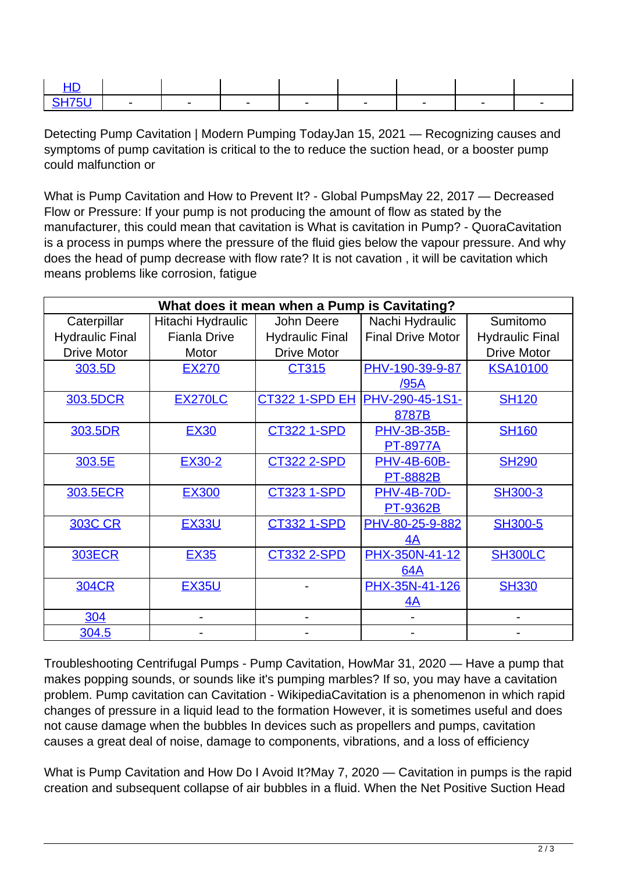Detecting Pump Cavitation | Modern Pumping TodayJan 15, 2021 — Recognizing causes and symptoms of pump cavitation is critical to the to reduce the suction head, or a booster pump could malfunction or

What is Pump Cavitation and How to Prevent It? - Global PumpsMay 22, 2017 — Decreased Flow or Pressure: If your pump is not producing the amount of flow as stated by the manufacturer, this could mean that cavitation is What is cavitation in Pump? - QuoraCavitation is a process in pumps where the pressure of the fluid gies below the vapour pressure. And why does the head of pump decrease with flow rate? It is not cavation , it will be cavitation which means problems like corrosion, fatigue

| What does it mean when a Pump is Cavitating? |                     |                        |                          |                        |  |  |  |
|----------------------------------------------|---------------------|------------------------|--------------------------|------------------------|--|--|--|
| Caterpillar                                  | Hitachi Hydraulic   | John Deere             | Nachi Hydraulic          | Sumitomo               |  |  |  |
| <b>Hydraulic Final</b>                       | <b>Fianla Drive</b> | <b>Hydraulic Final</b> | <b>Final Drive Motor</b> | <b>Hydraulic Final</b> |  |  |  |
| <b>Drive Motor</b>                           | Motor               | <b>Drive Motor</b>     |                          | <b>Drive Motor</b>     |  |  |  |
| 303.5D                                       | <b>EX270</b>        | CT315                  | PHV-190-39-9-87          | <b>KSA10100</b>        |  |  |  |
|                                              |                     |                        | <u>/95A</u>              |                        |  |  |  |
| 303.5DCR                                     | <b>EX270LC</b>      | <b>CT322 1-SPD EH</b>  | PHV-290-45-1S1-          | <b>SH120</b>           |  |  |  |
|                                              |                     |                        | 8787B                    |                        |  |  |  |
| 303.5DR                                      | <b>EX30</b>         | <b>CT322 1-SPD</b>     | <b>PHV-3B-35B-</b>       | <b>SH160</b>           |  |  |  |
|                                              |                     |                        | <b>PT-8977A</b>          |                        |  |  |  |
| 303.5E                                       | <b>EX30-2</b>       | <b>CT322 2-SPD</b>     | <b>PHV-4B-60B-</b>       | <b>SH290</b>           |  |  |  |
|                                              |                     |                        | <b>PT-8882B</b>          |                        |  |  |  |
| 303.5ECR                                     | <b>EX300</b>        | <b>CT323 1-SPD</b>     | <b>PHV-4B-70D-</b>       | SH300-3                |  |  |  |
|                                              |                     |                        | <b>PT-9362B</b>          |                        |  |  |  |
| <b>303C CR</b>                               | <b>EX33U</b>        | <b>CT332 1-SPD</b>     | PHV-80-25-9-882          | <b>SH300-5</b>         |  |  |  |
|                                              |                     |                        | 4A                       |                        |  |  |  |
| <b>303ECR</b>                                | <b>EX35</b>         | <b>CT332 2-SPD</b>     | PHX-350N-41-12           | <b>SH300LC</b>         |  |  |  |
|                                              |                     |                        | 64A                      |                        |  |  |  |
| <b>304CR</b>                                 | <b>EX35U</b>        |                        | PHX-35N-41-126           | <b>SH330</b>           |  |  |  |
|                                              |                     |                        | <u>4A</u>                |                        |  |  |  |
| 304                                          |                     |                        |                          |                        |  |  |  |
| 304.5                                        |                     |                        |                          |                        |  |  |  |

Troubleshooting Centrifugal Pumps - Pump Cavitation, HowMar 31, 2020 — Have a pump that makes popping sounds, or sounds like it's pumping marbles? If so, you may have a cavitation problem. Pump cavitation can Cavitation - WikipediaCavitation is a phenomenon in which rapid changes of pressure in a liquid lead to the formation However, it is sometimes useful and does not cause damage when the bubbles In devices such as propellers and pumps, cavitation causes a great deal of noise, damage to components, vibrations, and a loss of efficiency

What is Pump Cavitation and How Do I Avoid It?May 7, 2020 — Cavitation in pumps is the rapid creation and subsequent collapse of air bubbles in a fluid. When the Net Positive Suction Head